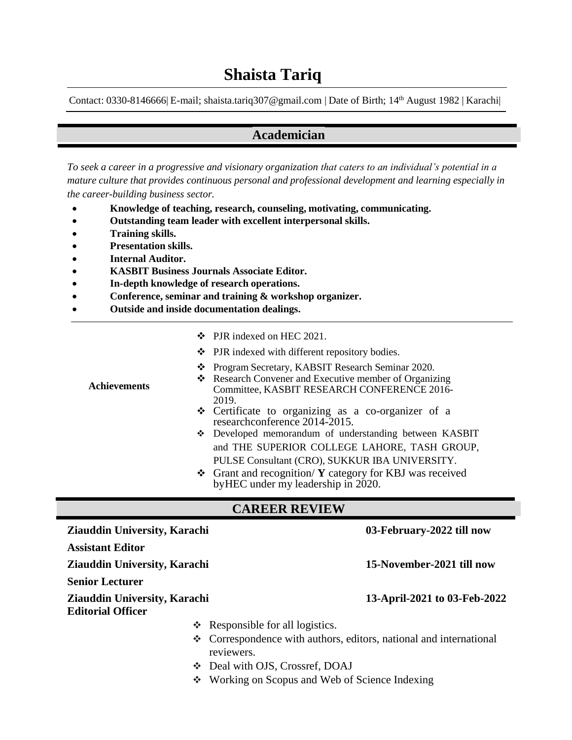Contact: 0330-8146666 E-mail; [shaista.tariq307@gmail.com](mailto:shaista.tariq307@gmail.com) | Date of Birth; 14<sup>th</sup> August 1982 | Karachi|

### **Academician**

*To seek a career in a progressive and visionary organization that caters to an individual's potential in a mature culture that provides continuous personal and professional development and learning especially in the career-building business sector.*

- **Knowledge of teaching, research, counseling, motivating, communicating.**
- **Outstanding team leader with excellent interpersonal skills.**
- **Training skills.**
- **Presentation skills.**
- **Internal Auditor.**
- **KASBIT Business Journals Associate Editor.**
- **In-depth knowledge of research operations.**
- **Conference, seminar and training & workshop organizer.**
- **Outside and inside documentation dealings.**

|                     | ❖ PJR indexed on HEC 2021.                                                                                                                                         |
|---------------------|--------------------------------------------------------------------------------------------------------------------------------------------------------------------|
|                     | $\bullet$ PJR indexed with different repository bodies.                                                                                                            |
| <b>Achievements</b> | Program Secretary, KABSIT Research Seminar 2020.<br>❖ Research Convener and Executive member of Organizing<br>Committee, KASBIT RESEARCH CONFERENCE 2016-<br>2019. |
|                     | Certificate to organizing as a co-organizer of a<br>researchconference 2014-2015.                                                                                  |
|                     | Developed memorandum of understanding between KASBIT<br>and THE SUPERIOR COLLEGE LAHORE, TASH GROUP,                                                               |
|                     | PULSE Consultant (CRO), SUKKUR IBA UNIVERSITY.<br>❖ Grant and recognition/ Y category for KBJ was received<br>by HEC under my leadership in 2020.                  |

### **CAREER REVIEW**

| <b>Ziauddin University, Karachi</b>                             |                                                                                       | 03-February-2022 till now    |
|-----------------------------------------------------------------|---------------------------------------------------------------------------------------|------------------------------|
| <b>Assistant Editor</b>                                         |                                                                                       |                              |
| <b>Ziauddin University, Karachi</b>                             |                                                                                       | 15-November-2021 till now    |
| <b>Senior Lecturer</b>                                          |                                                                                       |                              |
| <b>Ziauddin University, Karachi</b><br><b>Editorial Officer</b> |                                                                                       | 13-April-2021 to 03-Feb-2022 |
|                                                                 | $\triangleleft$ Responsible for all logistics.                                        |                              |
|                                                                 | $\div$ Correspondence with authors, editors, national and international<br>reviewers. |                              |
| <b>AND</b>                                                      | Deal with OJS, Crossref, DOAJ                                                         |                              |

Working on Scopus and Web of Science Indexing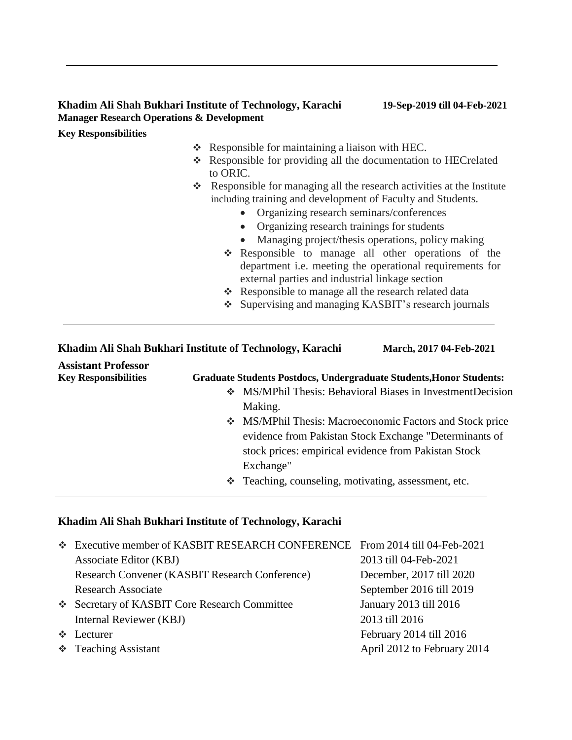#### **Khadim Ali Shah Bukhari Institute of Technology, Karachi 19-Sep-2019 till 04-Feb-2021 Manager Research Operations & Development**

#### **Key Responsibilities**

- Responsible for maintaining a liaison with HEC.
- Responsible for providing all the documentation to HECrelated to ORIC.
- $\triangleleft$  Responsible for managing all the research activities at the Institute including training and development of Faculty and Students.
	- Organizing research seminars/conferences
	- Organizing research trainings for students
	- Managing project/thesis operations, policy making
	- \* Responsible to manage all other operations of the department i.e. meeting the operational requirements for external parties and industrial linkage section
	- \* Responsible to manage all the research related data
	- Supervising and managing KASBIT's research journals

| Khadim Ali Shah Bukhari Institute of Technology, Karachi |                                                                            | March, 2017 04-Feb-2021 |  |
|----------------------------------------------------------|----------------------------------------------------------------------------|-------------------------|--|
| <b>Assistant Professor</b>                               |                                                                            |                         |  |
| <b>Key Responsibilities</b>                              | <b>Graduate Students Postdocs, Undergraduate Students, Honor Students:</b> |                         |  |
|                                                          |                                                                            |                         |  |

- ❖ MS/MPhil Thesis: Behavioral Biases in InvestmentDecision Making.
- MS/MPhil Thesis: Macroeconomic Factors and Stock price evidence from Pakistan Stock Exchange "Determinants of stock prices: empirical evidence from Pakistan Stock Exchange"
	- Teaching, counseling, motivating, assessment, etc.

#### **Khadim Ali Shah Bukhari Institute of Technology, Karachi**

| * Executive member of KASBIT RESEARCH CONFERENCE From 2014 till 04-Feb-2021 |                             |
|-----------------------------------------------------------------------------|-----------------------------|
| Associate Editor (KBJ)                                                      | 2013 till 04-Feb-2021       |
| Research Convener (KASBIT Research Conference)                              | December, 2017 till 2020    |
| <b>Research Associate</b>                                                   | September 2016 till 2019    |
| Secretary of KASBIT Core Research Committee                                 | January 2013 till 2016      |
| Internal Reviewer (KBJ)                                                     | 2013 till 2016              |
| $\triangle$ Lecturer                                                        | February 2014 till 2016     |
| ❖ Teaching Assistant                                                        | April 2012 to February 2014 |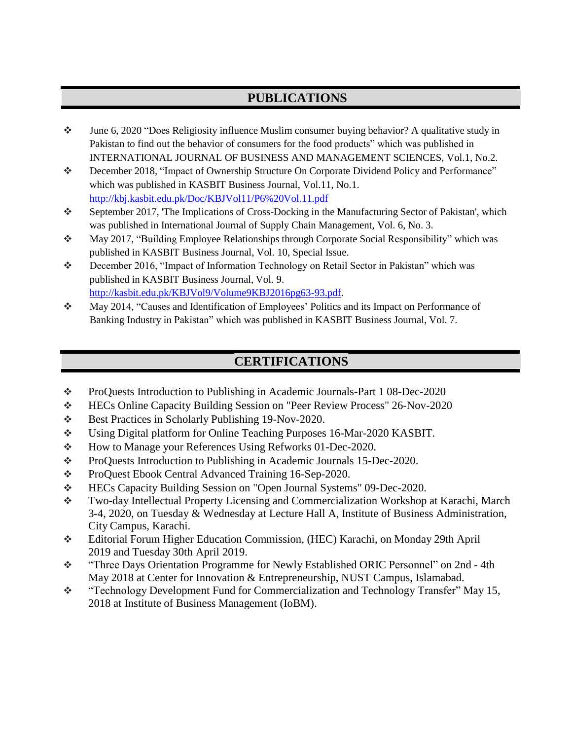### **PUBLICATIONS**

- June 6, 2020 "Does Religiosity influence Muslim consumer buying behavior? A qualitative study in Pakistan to find out the behavior of consumers for the food products" which was published in INTERNATIONAL JOURNAL OF BUSINESS AND MANAGEMENT SCIENCES, Vol.1, No.2.
- December 2018, "Impact of Ownership Structure On Corporate Dividend Policy and Performance" which was published in KASBIT Business Journal, Vol.11, No.1. <http://kbj.kasbit.edu.pk/Doc/KBJVol11/P6%20Vol.11.pdf>
- September 2017, 'The Implications of Cross-Docking in the Manufacturing Sector of Pakistan', which was published in International Journal of Supply Chain Management, Vol. 6, No. 3.
- May 2017, "Building Employee Relationships through Corporate Social Responsibility" which was published in KASBIT Business Journal, Vol. 10, Special Issue.
- \* December 2016, "Impact of Information Technology on Retail Sector in Pakistan" which was published in KASBIT Business Journal, Vol. 9. [http://kasbit.edu.pk/KBJVol9/Volume9KBJ2016pg63-9](http://kasbit.edu.pk/KBJVol9/Volume9KBJ2016pg63-)3.pdf.
- May 2014, "Causes and Identification of Employees' Politics and its Impact on Performance of Banking Industry in Pakistan" which was published in KASBIT Business Journal, Vol. 7.

### **CERTIFICATIONS**

- \* ProQuests Introduction to Publishing in Academic Journals-Part 1 08-Dec-2020
- HECs Online Capacity Building Session on "Peer Review Process" 26-Nov-2020
- Best Practices in Scholarly Publishing 19-Nov-2020.
- Using Digital platform for Online Teaching Purposes 16-Mar-2020 KASBIT.
- \* How to Manage your References Using Refworks 01-Dec-2020.
- \* ProQuests Introduction to Publishing in Academic Journals 15-Dec-2020.
- \* ProQuest Ebook Central Advanced Training 16-Sep-2020.
- HECs Capacity Building Session on "Open Journal Systems" 09-Dec-2020.
- Two-day Intellectual Property Licensing and Commercialization Workshop at Karachi, March 3-4, 2020, on Tuesday & Wednesday at Lecture Hall A, Institute of Business Administration, City Campus, Karachi.
- Editorial Forum Higher Education Commission, (HEC) Karachi, on Monday 29th April 2019 and Tuesday 30th April 2019.
- \* "Three Days Orientation Programme for Newly Established ORIC Personnel" on 2nd 4th May 2018 at Center for Innovation & Entrepreneurship, NUST Campus, Islamabad.
- \* "Technology Development Fund for Commercialization and Technology Transfer" May 15, 2018 at Institute of Business Management (IoBM).